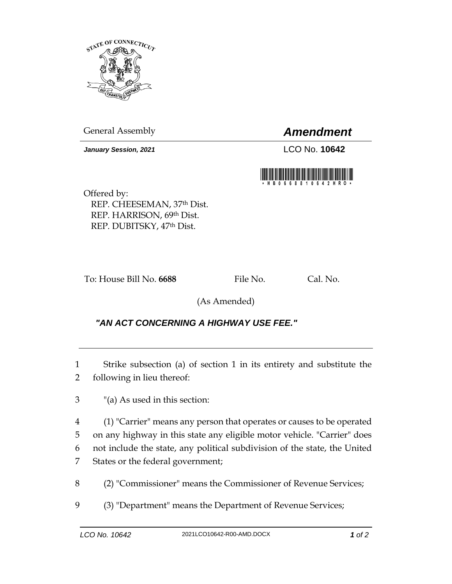

General Assembly *Amendment*

*January Session, 2021* LCO No. **10642**



Offered by: REP. CHEESEMAN, 37th Dist. REP. HARRISON, 69th Dist. REP. DUBITSKY, 47th Dist.

To: House Bill No. **6688** File No. Cal. No.

(As Amended)

## *"AN ACT CONCERNING A HIGHWAY USE FEE."*

1 Strike subsection (a) of section 1 in its entirety and substitute the 2 following in lieu thereof:

3 "(a) As used in this section:

 (1) "Carrier" means any person that operates or causes to be operated on any highway in this state any eligible motor vehicle. "Carrier" does not include the state, any political subdivision of the state, the United States or the federal government;

8 (2) "Commissioner" means the Commissioner of Revenue Services;

9 (3) "Department" means the Department of Revenue Services;